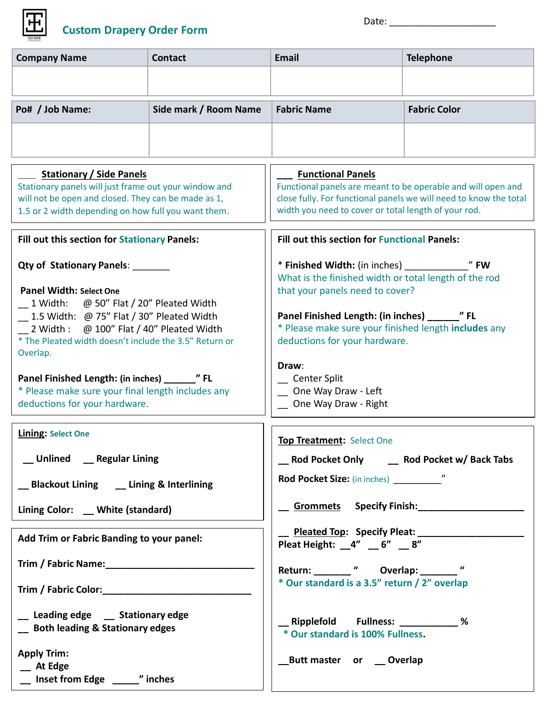

**\_\_ At Edge** 

**\_\_ Inset from Edge \_\_\_\_\_" inches**

| <b>Company Name</b>                                                                                                                                                                                                                                                                                                                                                  | <b>Contact</b>        | <b>Email</b>                                                                                                                                                                                                                                                                                                   | <b>Telephone</b>                             |  |
|----------------------------------------------------------------------------------------------------------------------------------------------------------------------------------------------------------------------------------------------------------------------------------------------------------------------------------------------------------------------|-----------------------|----------------------------------------------------------------------------------------------------------------------------------------------------------------------------------------------------------------------------------------------------------------------------------------------------------------|----------------------------------------------|--|
|                                                                                                                                                                                                                                                                                                                                                                      |                       |                                                                                                                                                                                                                                                                                                                |                                              |  |
| Po# / Job Name:                                                                                                                                                                                                                                                                                                                                                      | Side mark / Room Name | <b>Fabric Name</b>                                                                                                                                                                                                                                                                                             | <b>Fabric Color</b>                          |  |
|                                                                                                                                                                                                                                                                                                                                                                      |                       |                                                                                                                                                                                                                                                                                                                |                                              |  |
| <b>Stationary / Side Panels</b><br>Stationary panels will just frame out your window and<br>will not be open and closed. They can be made as 1,<br>1.5 or 2 width depending on how full you want them.                                                                                                                                                               |                       | <b>Functional Panels</b><br>Functional panels are meant to be operable and will open and<br>close fully. For functional panels we will need to know the total<br>width you need to cover or total length of your rod.                                                                                          |                                              |  |
| Fill out this section for Stationary Panels:                                                                                                                                                                                                                                                                                                                         |                       | <b>Fill out this section for Functional Panels:</b>                                                                                                                                                                                                                                                            |                                              |  |
| Qty of Stationary Panels: _______<br><b>Panel Width: Select One</b><br>1 Width: @ 50" Flat / 20" Pleated Width<br>1.5 Width: @ 75" Flat / 30" Pleated Width<br>2 Width : @ 100" Flat / 40" Pleated Width<br>* The Pleated width doesn't include the 3.5" Return or<br>Overlap.<br>* Please make sure your final length includes any<br>deductions for your hardware. |                       | What is the finished width or total length of the rod<br>that your panels need to cover?<br>Panel Finished Length: (in inches) _________ " FL<br>* Please make sure your finished length includes any<br>deductions for your hardware.<br>Draw:<br>Center Split<br>One Way Draw - Left<br>One Way Draw - Right |                                              |  |
| <b>Lining: Select One</b>                                                                                                                                                                                                                                                                                                                                            |                       | <b>Top Treatment: Select One</b>                                                                                                                                                                                                                                                                               |                                              |  |
| __Unlined ____Regular Lining                                                                                                                                                                                                                                                                                                                                         |                       | __ Rod Pocket Only _____ Rod Pocket w/ Back Tabs                                                                                                                                                                                                                                                               |                                              |  |
| __ Blackout Lining __ Lining & Interlining                                                                                                                                                                                                                                                                                                                           |                       |                                                                                                                                                                                                                                                                                                                |                                              |  |
| Lining Color: _ White (standard)                                                                                                                                                                                                                                                                                                                                     |                       | <b>Commets</b> Specify Finish: Specify Finish:                                                                                                                                                                                                                                                                 |                                              |  |
| Add Trim or Fabric Banding to your panel:                                                                                                                                                                                                                                                                                                                            |                       | Pleated Top: Specify Pleat: ________________<br>Pleat Height: $4'' - 6'' - 8''$                                                                                                                                                                                                                                |                                              |  |
| Trim / Fabric Name: Manual Manual Manual Manual Manual Manual Manual Manual Manual Manual Manual Manual Manual                                                                                                                                                                                                                                                       |                       | Return: "Overlap: "                                                                                                                                                                                                                                                                                            |                                              |  |
|                                                                                                                                                                                                                                                                                                                                                                      |                       |                                                                                                                                                                                                                                                                                                                | * Our standard is a 3.5" return / 2" overlap |  |
| __ Leading edge __ Stationary edge<br><b>South leading &amp; Stationary edges</b>                                                                                                                                                                                                                                                                                    |                       | * Our standard is 100% Fullness.                                                                                                                                                                                                                                                                               |                                              |  |
| <b>Apply Trim:</b><br>At Edga                                                                                                                                                                                                                                                                                                                                        |                       | Butt master or __ Overlap                                                                                                                                                                                                                                                                                      |                                              |  |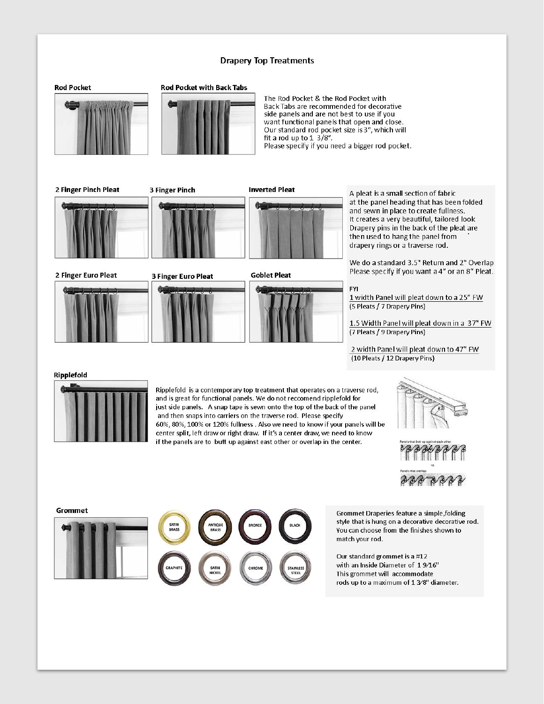### **Drapery Top Treatments**





The Rod Pocket & the Rod Pocket with Back Tabs are recommended for decorative side panels and are not best to use if you want functional panels that open and close. Our standard rod pocket size is 3", which will fit a rod up to  $1 \frac{3}{8}$ . Please specify if you need a bigger rod pocket.

2 Finger Pinch Pleat

2 Finger Euro Pleat



**3 Finger Pinch** 

**3 Finger Euro Pleat** 



**Goblet Pleat** 



A pleat is a small section of fabric at the panel heading that has been folded and sewn in place to create fullness. It creates a very beautiful, tailored look Drapery pins in the back of the pleat are then used to hang the panel from drapery rings or a traverse rod.

We do a standard 3.5" Return and 2" Overlap Please specify if you want a 4" or an 8" Pleat.

#### **FYI**

1 width Panel will pleat down to a 25" FW (5 Pleats / 7 Drapery Pins)

1.5 Width Panel will pleat down in a 37" FW (7 Pleats / 9 Drapery Pins)

2 width Panel will pleat down to 47" FW (10 Pleats / 12 Drapery Pins)

#### Ripplefold



Ripplefold is a contemporary top treatment that operates on a traverse rod, and is great for functional panels. We do not reccomend ripplefold for just side panels. A snap tape is sewn onto the top of the back of the panel and then snaps into carriers on the traverse rod. Please specify 60%, 80%, 100% or 120% fullness . Also we need to know if your panels will be center split, left draw or right draw. If it's a center draw, we need to know if the panels are to butt up against east other or overlap in the center.





**Grommet** SATIN<br>BRASS

Grommet Draperies feature a simple, folding style that is hung on a decorative decorative rod. You can choose from the finishes shown to match your rod.

Our standard grommet is a #12 with an Inside Diameter of 19/16" This grommet will accommodate rods up to a maximum of 1 3/8" diameter.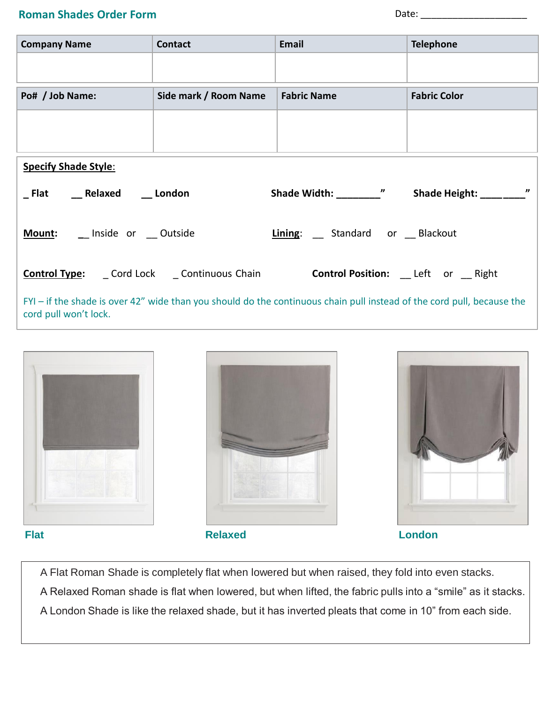# **Roman Shades Order Form**

| <b>Company Name</b>          | <b>Contact</b>        | Email                                                                                  | <b>Telephone</b>    |  |
|------------------------------|-----------------------|----------------------------------------------------------------------------------------|---------------------|--|
|                              |                       |                                                                                        |                     |  |
|                              |                       |                                                                                        |                     |  |
| Po# / Job Name:              | Side mark / Room Name | <b>Fabric Name</b>                                                                     | <b>Fabric Color</b> |  |
|                              |                       |                                                                                        |                     |  |
|                              |                       |                                                                                        |                     |  |
|                              |                       |                                                                                        |                     |  |
| <b>Specify Shade Style:</b>  |                       |                                                                                        |                     |  |
| Flat Relaxed London          |                       | Shade Width: " " Shade Height: \[\]                                                    | $\boldsymbol{\eta}$ |  |
| Mount: _ Inside or _ Outside |                       | Lining: _ Standard or _ Blackout                                                       |                     |  |
|                              |                       | <b>Control Type:</b> Cord Lock Continuous Chain <b>Control Position:</b> Left or Right |                     |  |

FYI – if the shade is over 42" wide than you should do the continuous chain pull instead of the cord pull, because the cord pull won't lock.



A Flat Roman Shade is completely flat when lowered but when raised, they fold into even stacks. A Relaxed Roman shade is flat when lowered, but when lifted, the fabric pulls into a "smile" as it stacks. A London Shade is like the relaxed shade, but it has inverted pleats that come in 10" from each side.